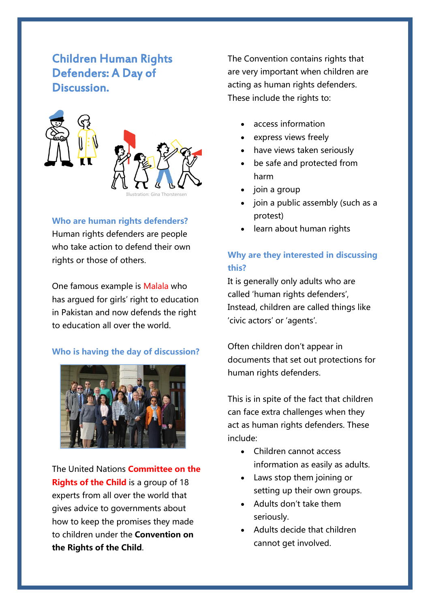# Children Human Rights Defenders: A Day of Discussion.



Illustration: Gina Thorstensen

**Who are human rights defenders?**

Human rights defenders are people who take action to defend their own rights or those of others.

One famous example is Malala who has argued for girls' right to education in Pakistan and now defends the right to education all over the world.

#### **Who is having the day of discussion?**



The United Nations **Committee on the Rights of the Child** is a group of 18 experts from all over the world that gives advice to governments about how to keep the promises they made to children under the **Convention on the Rights of the Child**.

The Convention contains rights that are very important when children are acting as human rights defenders. These include the rights to:

- access information
- express views freely
- have views taken seriously
- be safe and protected from harm
- join a group
- join a public assembly (such as a protest)
- learn about human rights

## **Why are they interested in discussing this?**

It is generally only adults who are called 'human rights defenders', Instead, children are called things like 'civic actors' or 'agents'.

Often children don't appear in documents that set out protections for human rights defenders.

This is in spite of the fact that children can face extra challenges when they act as human rights defenders. These include:

- Children cannot access information as easily as adults.
- Laws stop them joining or setting up their own groups.
- Adults don't take them seriously.
- Adults decide that children cannot get involved.